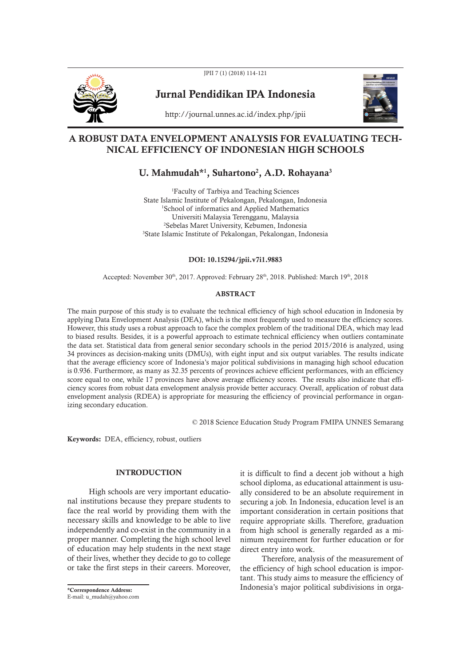

JPII 7 (1) (2018) 114-121

Jurnal Pendidikan IPA Indonesia



http://journal.unnes.ac.id/index.php/jpii

## A ROBUST DATA ENVELOPMENT ANALYSIS FOR EVALUATING TECH-NICAL EFFICIENCY OF INDONESIAN HIGH SCHOOLS

# U. Mahmudah\*<sup>1</sup>, Suhartono<sup>2</sup>, A.D. Rohayana<sup>3</sup>

Faculty of Tarbiya and Teaching Sciences State Islamic Institute of Pekalongan, Pekalongan, Indonesia School of informatics and Applied Mathematics Universiti Malaysia Terengganu, Malaysia Sebelas Maret University, Kebumen, Indonesia State Islamic Institute of Pekalongan, Pekalongan, Indonesia

#### DOI: 10.15294/jpii.v7i1.9883

Accepted: November 30<sup>th</sup>, 2017. Approved: February 28<sup>th</sup>, 2018. Published: March 19<sup>th</sup>, 2018

#### ABSTRACT

The main purpose of this study is to evaluate the technical efficiency of high school education in Indonesia by applying Data Envelopment Analysis (DEA), which is the most frequently used to measure the efficiency scores. However, this study uses a robust approach to face the complex problem of the traditional DEA, which may lead to biased results. Besides, it is a powerful approach to estimate technical efficiency when outliers contaminate the data set. Statistical data from general senior secondary schools in the period 2015/2016 is analyzed, using 34 provinces as decision-making units (DMUs), with eight input and six output variables. The results indicate that the average efficiency score of Indonesia's major political subdivisions in managing high school education is 0.936. Furthermore, as many as 32.35 percents of provinces achieve efficient performances, with an efficiency score equal to one, while 17 provinces have above average efficiency scores. The results also indicate that efficiency scores from robust data envelopment analysis provide better accuracy. Overall, application of robust data envelopment analysis (RDEA) is appropriate for measuring the efficiency of provincial performance in organizing secondary education.

© 2018 Science Education Study Program FMIPA UNNES Semarang

Keywords: DEA, efficiency, robust, outliers

## INTRODUCTION

High schools are very important educational institutions because they prepare students to face the real world by providing them with the necessary skills and knowledge to be able to live independently and co-exist in the community in a proper manner. Completing the high school level of education may help students in the next stage of their lives, whether they decide to go to college or take the first steps in their careers. Moreover,

it is difficult to find a decent job without a high school diploma, as educational attainment is usually considered to be an absolute requirement in securing a job. In Indonesia, education level is an important consideration in certain positions that require appropriate skills. Therefore, graduation from high school is generally regarded as a minimum requirement for further education or for direct entry into work.

Therefore, analysis of the measurement of the efficiency of high school education is important. This study aims to measure the efficiency of \*Correspondence Address: Indonesia's major political subdivisions in orga-

E-mail: u\_mudah@yahoo.com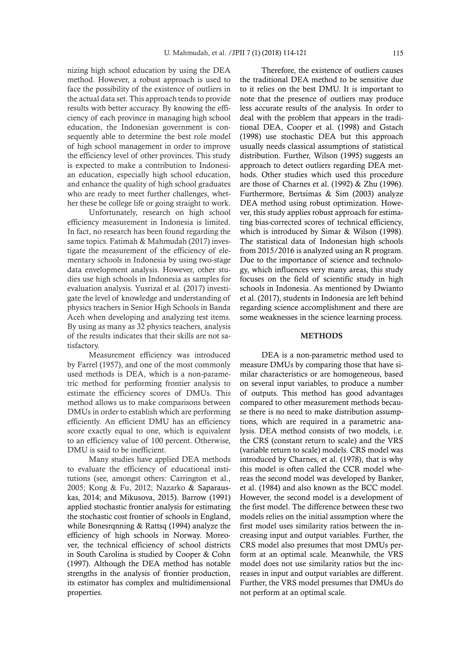nizing high school education by using the DEA method. However, a robust approach is used to face the possibility of the existence of outliers in the actual data set. This approach tends to provide results with better accuracy. By knowing the efficiency of each province in managing high school education, the Indonesian government is consequently able to determine the best role model of high school management in order to improve the efficiency level of other provinces. This study is expected to make a contribution to Indonesian education, especially high school education, and enhance the quality of high school graduates who are ready to meet further challenges, whether these be college life or going straight to work.

Unfortunately, research on high school efficiency measurement in Indonesia is limited. In fact, no research has been found regarding the same topics. Fatimah & Mahmudah (2017) investigate the measurement of the efficiency of elementary schools in Indonesia by using two-stage data envelopment analysis. However, other studies use high schools in Indonesia as samples for evaluation analysis. Yusrizal et al. (2017) investigate the level of knowledge and understanding of physics teachers in Senior High Schools in Banda Aceh when developing and analyzing test items. By using as many as 32 physics teachers, analysis of the results indicates that their skills are not satisfactory.

Measurement efficiency was introduced by Farrel (1957), and one of the most commonly used methods is DEA, which is a non-parametric method for performing frontier analysis to estimate the efficiency scores of DMUs. This method allows us to make comparisons between DMUs in order to establish which are performing efficiently. An efficient DMU has an efficiency score exactly equal to one, which is equivalent to an efficiency value of 100 percent. Otherwise, DMU is said to be inefficient.

Many studies have applied DEA methods to evaluate the efficiency of educational institutions (see, amongst others: Carrington et al., 2005; Kong & Fu, 2012; Nazarko & Saparauskas, 2014; and Mikusova, 2015). Barrow (1991) applied stochastic frontier analysis for estimating the stochastic cost frontier of schools in England, while Bonesrqnning & Rattsq (1994) analyze the efficiency of high schools in Norway. Moreover, the technical efficiency of school districts in South Carolina is studied by Cooper & Cohn (1997). Although the DEA method has notable strengths in the analysis of frontier production, its estimator has complex and multidimensional properties.

Therefore, the existence of outliers causes the traditional DEA method to be sensitive due to it relies on the best DMU. It is important to note that the presence of outliers may produce less accurate results of the analysis. In order to deal with the problem that appears in the traditional DEA, Cooper et al. (1998) and Gstach (1998) use stochastic DEA but this approach usually needs classical assumptions of statistical distribution. Further, Wilson (1995) suggests an approach to detect outliers regarding DEA methods. Other studies which used this procedure are those of Charnes et al. (1992) & Zhu (1996). Furthermore, Bertsimas & Sim (2003) analyze DEA method using robust optimization. However, this study applies robust approach for estimating bias-corrected scores of technical efficiency, which is introduced by Simar & Wilson (1998). The statistical data of Indonesian high schools from 2015/2016 is analyzed using an R program. Due to the importance of science and technology, which influences very many areas, this study focuses on the field of scientific study in high schools in Indonesia. As mentioned by Dwianto et al. (2017), students in Indonesia are left behind regarding science accomplishment and there are some weaknesses in the science learning process.

#### **METHODS**

DEA is a non-parametric method used to measure DMUs by comparing those that have similar characteristics or are homogeneous, based on several input variables, to produce a number of outputs. This method has good advantages compared to other measurement methods because there is no need to make distribution assumptions, which are required in a parametric analysis. DEA method consists of two models, i.e. the CRS (constant return to scale) and the VRS (variable return to scale) models. CRS model was introduced by Charnes, et al. (1978), that is why this model is often called the CCR model whereas the second model was developed by Banker, et al. (1984) and also known as the BCC model. However, the second model is a development of the first model. The difference between these two models relies on the initial assumption where the first model uses similarity ratios between the increasing input and output variables. Further, the CRS model also presumes that most DMUs perform at an optimal scale. Meanwhile, the VRS model does not use similarity ratios but the increases in input and output variables are different. Further, the VRS model presumes that DMUs do not perform at an optimal scale.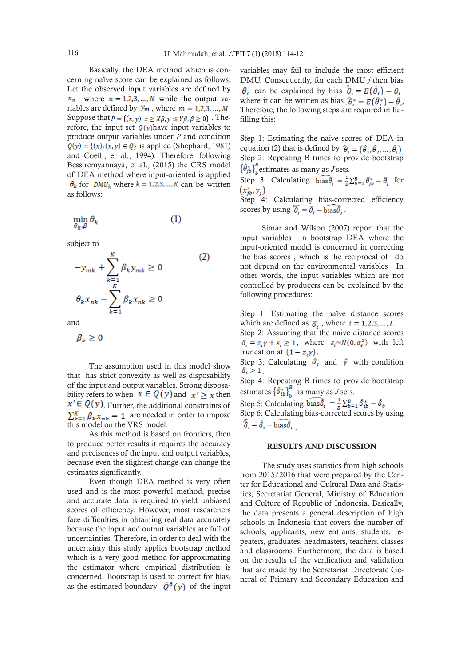Basically, the DEA method which is concerning naïve score can be explained as follows. Let the observed input variables are defined by  $x_n$ , where  $n = 1,2,3,...,N$  while the output variables are defined by  $y_m$ , where  $m = 1,2,3,..., M$ Suppose that  $P = \{(x, y): x \ge X\beta, y \le Y\beta, \beta \ge 0\}$ . Therefore, the input set  $\mathbf{Q}(y)$  have input variables to produce output variables under *P* and condition  $Q(y) = \{(x): (x, y) \in Q\}$  is applied (Shephard, 1981) and Coelli, et al., 1994). Therefore, following Besstremyannaya, et al., (2015) the CRS model of DEA method where input-oriented is applied  $\theta_k$  for DMU<sub>k</sub> where  $k = 1, 2, 3, ..., K$  can be written as follows:

$$
\min_{\theta_k, \beta} \theta_k \tag{1}
$$

subject to

$$
-y_{mk} + \sum_{k=1}^{K} \beta_k y_{mk} \ge 0
$$
\n
$$
\theta_k x_{nk} - \sum_{k=1}^{K} \beta_k x_{nk} \ge 0
$$
\n(2)

and

$$
\beta_k\geq 0
$$

The assumption used in this model show that has strict convexity as well as disposability of the input and output variables. Strong disposability refers to when  $x \in Q(y)$  and  $x' \geq x$  then  $x' \in Q(y)$ . Further, the additional constraints of  $\sum_{k=1}^{K} \beta_k x_{nk} = 1$  are needed in order to impose this model on the VRS model.

As this method is based on frontiers, then to produce better results it requires the accuracy and preciseness of the input and output variables, because even the slightest change can change the estimates significantly.

Even though DEA method is very often used and is the most powerful method, precise and accurate data is required to yield unbiased scores of efficiency. However, most researchers face difficulties in obtaining real data accurately because the input and output variables are full of uncertainties. Therefore, in order to deal with the uncertainty this study applies bootstrap method which is a very good method for approximating the estimator where empirical distribution is concerned. Bootstrap is used to correct for bias, as the estimated boundary  $\hat{Q}^{\partial}(y)$  of the input

variables may fail to include the most efficient DMU. Consequently, for each DMU *j* then bias  $\theta_i$  can be explained by bias  $\bar{\theta}_i = E(\hat{\theta}_i) - \theta_i$ . where it can be written as bias  $\hat{\theta}_i^* = E(\hat{\theta}_i^*) - \hat{\theta}_i$ . Therefore, the following steps are required in fulfilling this:

Step 1: Estimating the naive scores of DEA in equation (2) that is defined by  $\hat{\theta}_i = (\hat{\theta}_1, \hat{\theta}_2, ..., \hat{\theta}_r)$ Step 2: Repeating B times to provide bootstrap  $\{\hat{\theta}_{jb}^*\}_{b}^{\beta}$  estimates as many as *J* sets.

Step 3: Calculating  $\widehat{\theta}_{j} = \frac{1}{R} \sum_{b=1}^{B} \hat{\theta}_{jb}^{*} - \hat{\theta}_{j}$  for  $(x_{ib}^*, y_i)$ 

Step 4: Calculating bias-corrected efficiency scores by using  $\hat{\theta}_i = \hat{\theta}_i - \text{bias}\hat{\theta}_i$ .

Simar and Wilson (2007) report that the input variables in bootstrap DEA where the input-oriented model is concerned in correcting the bias scores , which is the reciprocal of do not depend on the environmental variables . In other words, the input variables which are not controlled by producers can be explained by the following procedures:

Step 1: Estimating the naïve distance scores which are defined as  $\delta_i$ , where  $i = 1, 2, 3, ..., I$ .

Step 2: Assuming that the naive distance scores  $\delta_i = z_i \gamma + \varepsilon_i \ge 1$ , where  $\varepsilon_i \sim N(0, \sigma_{\varepsilon}^2)$  with left truncation at  $(1 - z_i \gamma)$ .

Step 3: Calculating  $\hat{\sigma}_{s}$  and  $\hat{\gamma}$  with condition  $\delta_i > 1$ .

Step 4: Repeating B times to provide bootstrap estimates  $\left\{\hat{\delta}_{ib}^*\right\}_{b}^B$  as many as *J* sets.

Step 5: Calculating  $\widehat{\text{bas}}_{i}$  =  $\frac{1}{B} \sum_{b=1}^{B} \hat{\delta}_{ib}^{*} - \hat{\delta}_{i}$ . Step 6: Calculating bias-corrected scores by using  $\widehat{\delta}_i = \widehat{\delta}_i - \text{bias}_{i} \widehat{\delta}_i$ 

#### RESULTS AND DISCUSSION

The study uses statistics from high schools from 2015/2016 that were prepared by the Center for Educational and Cultural Data and Statistics, Secretariat General, Ministry of Education and Culture of Republic of Indonesia. Basically, the data presents a general description of high schools in Indonesia that covers the number of schools, applicants, new entrants, students, repeaters, graduates, headmasters, teachers, classes and classrooms. Furthermore, the data is based on the results of the verification and validation that are made by the Secretariat Directorate General of Primary and Secondary Education and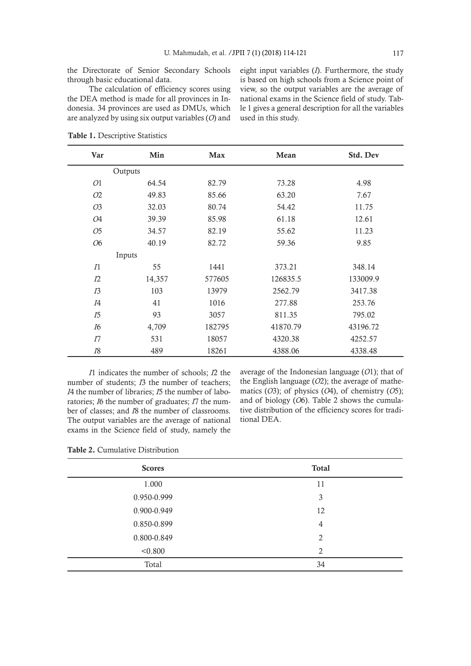The calculation of efficiency scores using the DEA method is made for all provinces in Indonesia. 34 provinces are used as DMUs, which are analyzed by using six output variables (*O*) and eight input variables (*I*). Furthermore, the study is based on high schools from a Science point of view, so the output variables are the average of national exams in the Science field of study. Table 1 gives a general description for all the variables used in this study.

| Var            | Min     | <b>Max</b> | Mean     | Std. Dev |
|----------------|---------|------------|----------|----------|
|                | Outputs |            |          |          |
| 01             | 64.54   | 82.79      | 73.28    | 4.98     |
| 02             | 49.83   | 85.66      | 63.20    | 7.67     |
| 03             | 32.03   | 80.74      | 54.42    | 11.75    |
| 04             | 39.39   | 85.98      | 61.18    | 12.61    |
| 05             | 34.57   | 82.19      | 55.62    | 11.23    |
| 06             | 40.19   | 82.72      | 59.36    | 9.85     |
|                | Inputs  |            |          |          |
| $\varPi$       | 55      | 1441       | 373.21   | 348.14   |
| I2             | 14,357  | 577605     | 126835.5 | 133009.9 |
| I <sub>3</sub> | 103     | 13979      | 2562.79  | 3417.38  |
| I4             | 41      | 1016       | 277.88   | 253.76   |
| I5             | 93      | 3057       | 811.35   | 795.02   |
| I6             | 4,709   | 182795     | 41870.79 | 43196.72 |
| Ι7             | 531     | 18057      | 4320.38  | 4252.57  |
| I8             | 489     | 18261      | 4388.06  | 4338.48  |

Table 1. Descriptive Statistics

*I*1 indicates the number of schools; *I*2 the number of students; *I*3 the number of teachers; *I*4 the number of libraries; *I*5 the number of laboratories; *I*6 the number of graduates; *I*7 the number of classes; and *I*8 the number of classrooms. The output variables are the average of national exams in the Science field of study, namely the

average of the Indonesian language (*O*1); that of the English language (*O*2); the average of mathematics (*O*3); of physics (*O*4), of chemistry (*O*5); and of biology (*O*6). Table 2 shows the cumulative distribution of the efficiency scores for traditional DEA.

Table 2. Cumulative Distribution

| <b>Scores</b> | <b>Total</b>   |
|---------------|----------------|
| 1.000         | 11             |
| 0.950-0.999   | 3              |
| 0.900-0.949   | 12             |
| 0.850-0.899   | $\overline{4}$ |
| 0.800-0.849   | 2              |
| < 0.800       | $\overline{2}$ |
| Total         | 34             |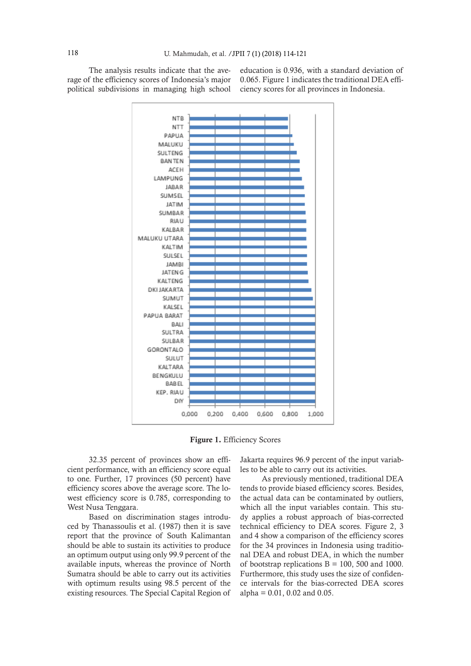The analysis results indicate that the average of the efficiency scores of Indonesia's major political subdivisions in managing high school

education is 0.936, with a standard deviation of 0.065. Figure 1 indicates the traditional DEA efficiency scores for all provinces in Indonesia.



Figure 1. Efficiency Scores

32.35 percent of provinces show an efficient performance, with an efficiency score equal to one. Further, 17 provinces (50 percent) have efficiency scores above the average score. The lowest efficiency score is 0.785, corresponding to West Nusa Tenggara.

Based on discrimination stages introduced by Thanassoulis et al. (1987) then it is save report that the province of South Kalimantan should be able to sustain its activities to produce an optimum output using only 99.9 percent of the available inputs, whereas the province of North Sumatra should be able to carry out its activities with optimum results using 98.5 percent of the existing resources. The Special Capital Region of

Jakarta requires 96.9 percent of the input variables to be able to carry out its activities.

As previously mentioned, traditional DEA tends to provide biased efficiency scores. Besides, the actual data can be contaminated by outliers, which all the input variables contain. This study applies a robust approach of bias-corrected technical efficiency to DEA scores. Figure 2, 3 and 4 show a comparison of the efficiency scores for the 34 provinces in Indonesia using traditional DEA and robust DEA, in which the number of bootstrap replications  $B = 100$ , 500 and 1000. Furthermore, this study uses the size of confidence intervals for the bias-corrected DEA scores alpha =  $0.01$ ,  $0.02$  and  $0.05$ .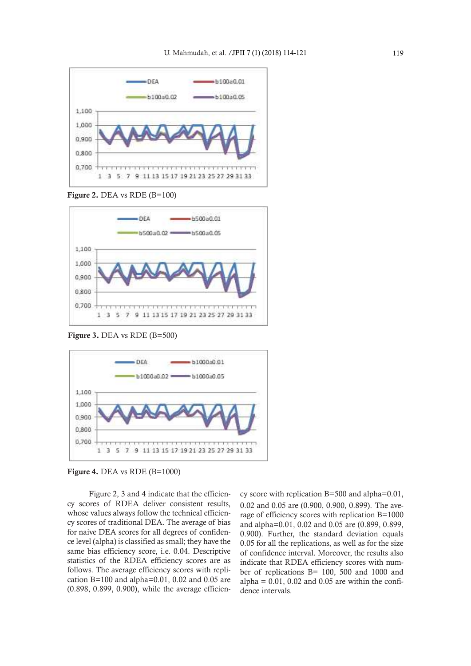

Figure 2. DEA vs RDE (B=100)



Figure 3. DEA vs RDE (B=500)



Figure 4. DEA vs RDE (B=1000)

Figure 2, 3 and 4 indicate that the efficiency scores of RDEA deliver consistent results, whose values always follow the technical efficiency scores of traditional DEA. The average of bias for naive DEA scores for all degrees of confidence level (alpha) is classified as small; they have the same bias efficiency score, i.e. 0.04. Descriptive statistics of the RDEA efficiency scores are as follows. The average efficiency scores with replication B=100 and alpha=0.01, 0.02 and 0.05 are (0.898, 0.899, 0.900), while the average efficien-

cy score with replication B=500 and alpha=0.01, 0.02 and 0.05 are (0.900, 0.900, 0.899). The average of efficiency scores with replication B=1000 and alpha=0.01, 0.02 and 0.05 are (0.899, 0.899, 0.900). Further, the standard deviation equals 0.05 for all the replications, as well as for the size of confidence interval. Moreover, the results also indicate that RDEA efficiency scores with number of replications B= 100, 500 and 1000 and alpha =  $0.01$ ,  $0.02$  and  $0.05$  are within the confidence intervals.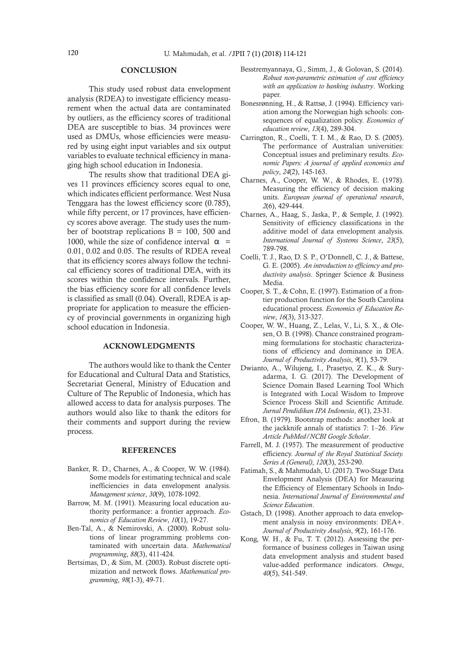#### **CONCLUSION**

This study used robust data envelopment analysis (RDEA) to investigate efficiency measurement when the actual data are contaminated by outliers, as the efficiency scores of traditional DEA are susceptible to bias. 34 provinces were used as DMUs, whose efficiencies were measured by using eight input variables and six output variables to evaluate technical efficiency in managing high school education in Indonesia.

The results show that traditional DEA gives 11 provinces efficiency scores equal to one, which indicates efficient performance. West Nusa Tenggara has the lowest efficiency score (0.785), while fifty percent, or 17 provinces, have efficiency scores above average. The study uses the number of bootstrap replications  $B = 100$ , 500 and 1000, while the size of confidence interval  $\alpha$  = 0.01, 0.02 and 0.05. The results of RDEA reveal that its efficiency scores always follow the technical efficiency scores of traditional DEA, with its scores within the confidence intervals. Further, the bias efficiency score for all confidence levels is classified as small (0.04). Overall, RDEA is appropriate for application to measure the efficiency of provincial governments in organizing high school education in Indonesia.

### ACKNOWLEDGMENTS

The authors would like to thank the Center for Educational and Cultural Data and Statistics, Secretariat General, Ministry of Education and Culture of The Republic of Indonesia, which has allowed access to data for analysis purposes. The authors would also like to thank the editors for their comments and support during the review process.

#### REFERENCES

- Banker, R. D., Charnes, A., & Cooper, W. W. (1984). Some models for estimating technical and scale inefficiencies in data envelopment analysis. *Management science*, *30*(9), 1078-1092.
- Barrow, M. M. (1991). Measuring local education authority performance: a frontier approach. *Economics of Education Review*, *10*(1), 19-27.
- Ben-Tal, A., & Nemirovski, A. (2000). Robust solutions of linear programming problems contaminated with uncertain data. *Mathematical programming*, *88*(3), 411-424.
- Bertsimas, D., & Sim, M. (2003). Robust discrete optimization and network flows. *Mathematical programming*, *98*(1-3), 49-71.
- Besstremyannaya, G., Simm, J., & Golovan, S. (2014). *Robust non-parametric estimation of cost efficiency with an application to banking industry*. Working paper.
- Bonesrønning, H., & Rattsø, J. (1994). Efficiency variation among the Norwegian high schools: consequences of equalization policy. *Economics of education review*, *13*(4), 289-304.
- Carrington, R., Coelli, T. I. M., & Rao, D. S. (2005). The performance of Australian universities: Conceptual issues and preliminary results. *Economic Papers: A journal of applied economics and policy*, *24*(2), 145-163.
- Charnes, A., Cooper, W. W., & Rhodes, E. (1978). Measuring the efficiency of decision making units. *European journal of operational research*, *2*(6), 429-444.
- Charnes, A., Haag, S., Jaska, P., & Semple, J. (1992). Sensitivity of efficiency classifications in the additive model of data envelopment analysis. *International Journal of Systems Science*, *23*(5), 789-798.
- Coelli, T. J., Rao, D. S. P., O'Donnell, C. J., & Battese, G. E. (2005). *An introduction to efficiency and productivity analysis*. Springer Science & Business Media.
- Cooper, S. T., & Cohn, E. (1997). Estimation of a frontier production function for the South Carolina educational process. *Economics of Education Review*, *16*(3), 313-327.
- Cooper, W. W., Huang, Z., Lelas, V., Li, S. X., & Olesen, O. B. (1998). Chance constrained programming formulations for stochastic characterizations of efficiency and dominance in DEA. *Journal of Productivity Analysis*, *9*(1), 53-79.
- Dwianto, A., Wilujeng, I., Prasetyo, Z. K., & Suryadarma, I. G. (2017). The Development of Science Domain Based Learning Tool Which is Integrated with Local Wisdom to Improve Science Process Skill and Scientific Attitude. *Jurnal Pendidikan IPA Indonesia*, *6*(1), 23-31.
- Efron, B. (1979). Bootstrap methods: another look at the jackknife annals of statistics 7: 1–26. *View Article PubMed/NCBI Google Scholar*.
- Farrell, M. J. (1957). The measurement of productive efficiency. *Journal of the Royal Statistical Society. Series A (General)*, *120*(3), 253-290.
- Fatimah, S., & Mahmudah, U. (2017). Two-Stage Data Envelopment Analysis (DEA) for Measuring the Efficiency of Elementary Schools in Indonesia. *International Journal of Environmental and Science Education*.
- Gstach, D. (1998). Another approach to data envelopment analysis in noisy environments: DEA+. *Journal of Productivity Analysis*, *9*(2), 161-176.
- Kong, W. H., & Fu, T. T. (2012). Assessing the performance of business colleges in Taiwan using data envelopment analysis and student based value-added performance indicators. *Omega*, *40*(5), 541-549.